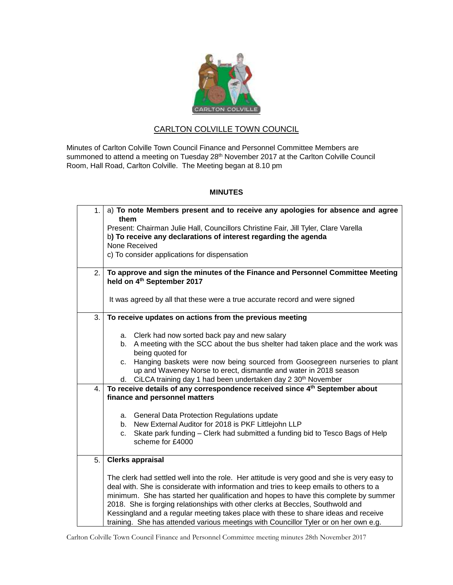

## CARLTON COLVILLE TOWN COUNCIL

Minutes of Carlton Colville Town Council Finance and Personnel Committee Members are summoned to attend a meeting on Tuesday 28<sup>th</sup> November 2017 at the Carlton Colville Council Room, Hall Road, Carlton Colville. The Meeting began at 8.10 pm

## **MINUTES**

| 1. | a) To note Members present and to receive any apologies for absence and agree                                                                                                         |
|----|---------------------------------------------------------------------------------------------------------------------------------------------------------------------------------------|
|    | them                                                                                                                                                                                  |
|    | Present: Chairman Julie Hall, Councillors Christine Fair, Jill Tyler, Clare Varella<br>b) To receive any declarations of interest regarding the agenda                                |
|    | None Received                                                                                                                                                                         |
|    | c) To consider applications for dispensation                                                                                                                                          |
|    |                                                                                                                                                                                       |
| 2. | To approve and sign the minutes of the Finance and Personnel Committee Meeting                                                                                                        |
|    | held on 4th September 2017                                                                                                                                                            |
|    |                                                                                                                                                                                       |
|    | It was agreed by all that these were a true accurate record and were signed                                                                                                           |
| 3. | To receive updates on actions from the previous meeting                                                                                                                               |
|    |                                                                                                                                                                                       |
|    | a. Clerk had now sorted back pay and new salary                                                                                                                                       |
|    | b. A meeting with the SCC about the bus shelter had taken place and the work was                                                                                                      |
|    | being quoted for                                                                                                                                                                      |
|    | Hanging baskets were now being sourced from Goosegreen nurseries to plant<br>C.                                                                                                       |
|    | up and Waveney Norse to erect, dismantle and water in 2018 season                                                                                                                     |
|    | d. CiLCA training day 1 had been undertaken day 2 30 <sup>th</sup> November                                                                                                           |
| 4. | To receive details of any correspondence received since 4 <sup>th</sup> September about                                                                                               |
|    | finance and personnel matters                                                                                                                                                         |
|    | a. General Data Protection Regulations update                                                                                                                                         |
|    | b. New External Auditor for 2018 is PKF Littlejohn LLP                                                                                                                                |
|    | Skate park funding - Clerk had submitted a funding bid to Tesco Bags of Help<br>c.                                                                                                    |
|    | scheme for £4000                                                                                                                                                                      |
|    |                                                                                                                                                                                       |
| 5. | <b>Clerks appraisal</b>                                                                                                                                                               |
|    |                                                                                                                                                                                       |
|    | The clerk had settled well into the role. Her attitude is very good and she is very easy to<br>deal with. She is considerate with information and tries to keep emails to others to a |
|    | minimum. She has started her qualification and hopes to have this complete by summer                                                                                                  |
|    | 2018. She is forging relationships with other clerks at Beccles, Southwold and                                                                                                        |
|    | Kessingland and a regular meeting takes place with these to share ideas and receive                                                                                                   |
|    | training. She has attended various meetings with Councillor Tyler or on her own e.g.                                                                                                  |